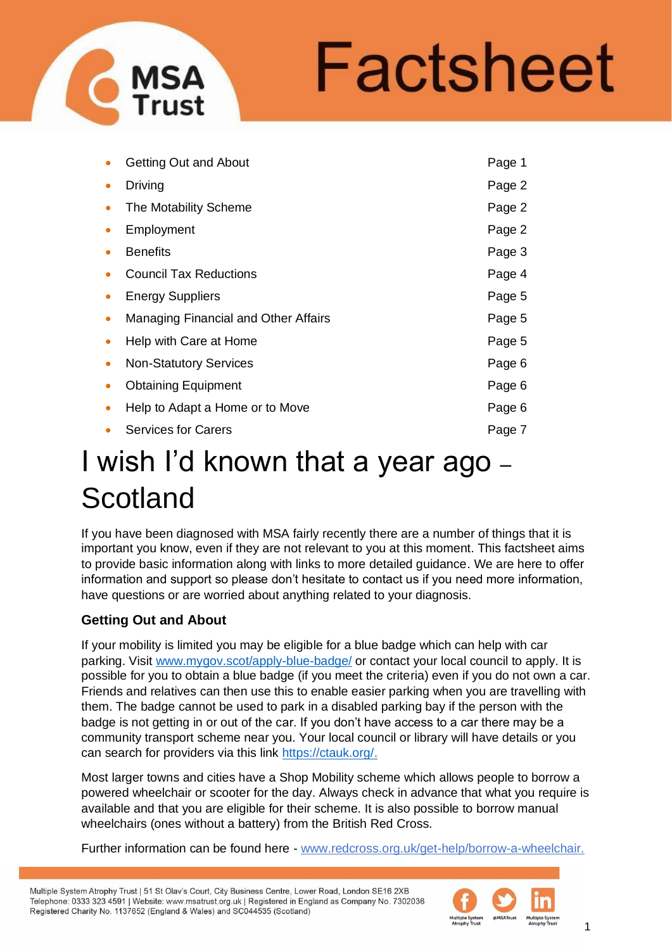

|           | <b>Getting Out and About</b>         | Page 1 |
|-----------|--------------------------------------|--------|
|           | Driving                              | Page 2 |
|           | The Motability Scheme                | Page 2 |
|           | Employment                           | Page 2 |
|           | <b>Benefits</b>                      | Page 3 |
|           | <b>Council Tax Reductions</b>        | Page 4 |
|           | <b>Energy Suppliers</b>              | Page 5 |
|           | Managing Financial and Other Affairs | Page 5 |
|           | Help with Care at Home               | Page 5 |
| $\bullet$ | <b>Non-Statutory Services</b>        | Page 6 |
|           | <b>Obtaining Equipment</b>           | Page 6 |
|           | Help to Adapt a Home or to Move      | Page 6 |
|           | <b>Services for Carers</b>           | Page 7 |

# I wish I'd known that a year ago – **Scotland**

If you have been diagnosed with MSA fairly recently there are a number of things that it is important you know, even if they are not relevant to you at this moment. This factsheet aims to provide basic information along with links to more detailed guidance. We are here to offer information and support so please don't hesitate to contact us if you need more information, have questions or are worried about anything related to your diagnosis.

## **Getting Out and About**

If your mobility is limited you may be eligible for a blue badge which can help with car parking. Visit [www.mygov.scot/apply-blue-badge/](http://www.mygov.scot/apply-blue-badge/) or contact your local council to apply. It is possible for you to obtain a blue badge (if you meet the criteria) even if you do not own a car. Friends and relatives can then use this to enable easier parking when you are travelling with them. The badge cannot be used to park in a disabled parking bay if the person with the badge is not getting in or out of the car. If you don't have access to a car there may be a community transport scheme near you. Your local council or library will have details or you can search for providers via this link [https://ctauk.org/.](https://ctauk.org/)

Most larger towns and cities have a Shop Mobility scheme which allows people to borrow a powered wheelchair or scooter for the day. Always check in advance that what you require is available and that you are eligible for their scheme. It is also possible to borrow manual wheelchairs (ones without a battery) from the British Red Cross.

Further information can be found here - www.redcross.org.uk/get-help/borrow-a-wheelchair.

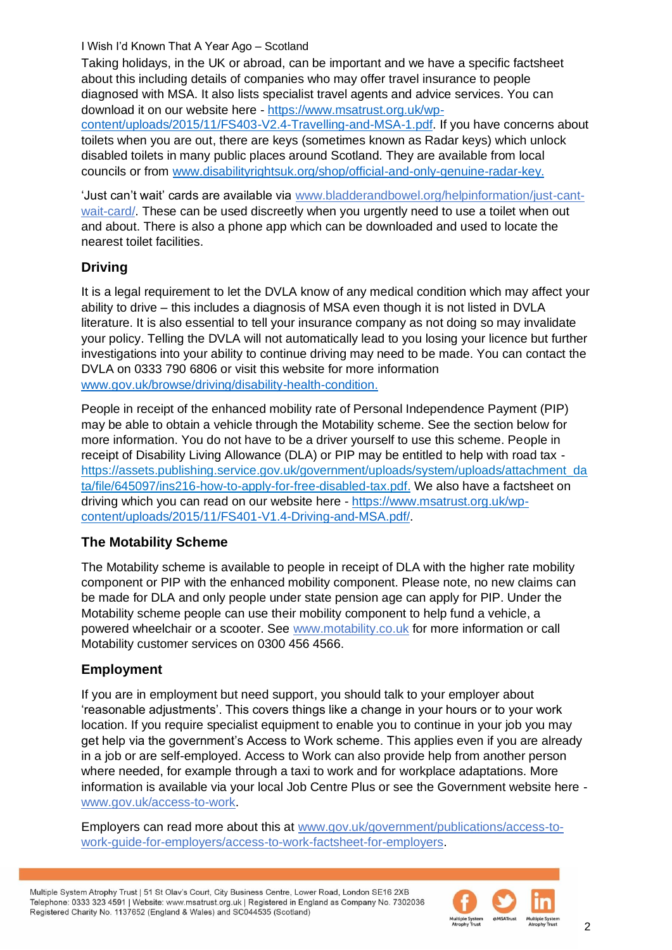Taking holidays, in the UK or abroad, can be important and we have a specific factsheet about this including details of companies who may offer travel insurance to people diagnosed with MSA. It also lists specialist travel agents and advice services. You can download it on our website here - [https://www.msatrust.org.uk/wp-](https://www.msatrust.org.uk/wp-content/uploads/2015/11/FS403-V2.4-Travelling-and-MSA-1.pdf)

[content/uploads/2015/11/FS403-V2.4-Travelling-and-MSA-1.pdf.](https://www.msatrust.org.uk/wp-content/uploads/2015/11/FS403-V2.4-Travelling-and-MSA-1.pdf) If you have concerns about toilets when you are out, there are keys (sometimes known as Radar keys) which unlock disabled toilets in many public places around Scotland. They are available from local councils or from [www.disabilityrightsuk.org/shop/official-and-only-genuine-radar-key.](https://www.disabilityrightsuk.org/shop/official-and-only-genuine-radar-key)

'Just can't wait' cards are available via www.bladderandbowel.org/helpinformation/just-cantwait-card/. These can be used discreetly when you urgently need to use a toilet when out and about. There is also a phone app which can be downloaded and used to locate the nearest toilet facilities.

## **Driving**

It is a legal requirement to let the DVLA know of any medical condition which may affect your ability to drive – this includes a diagnosis of MSA even though it is not listed in DVLA literature. It is also essential to tell your insurance company as not doing so may invalidate your policy. Telling the DVLA will not automatically lead to you losing your licence but further investigations into your ability to continue driving may need to be made. You can contact the DVLA on 0333 790 6806 or visit this website for more information [www.gov.uk/browse/driving/disability-health-condition.](https://www.gov.uk/browse/driving/disability-health-condition)

People in receipt of the enhanced mobility rate of Personal Independence Payment (PIP) may be able to obtain a vehicle through the Motability scheme. See the section below for more information. You do not have to be a driver yourself to use this scheme. People in receipt of Disability Living Allowance (DLA) or PIP may be entitled to help with road tax https://assets.publishing.service.gov.uk/government/uploads/system/uploads/attachment\_da ta/file/645097/ins216-how-to-apply-for-free-disabled-tax.pdf. We also have a factsheet on driving which you can read on our website here - [https://www.msatrust.org.uk/wp](https://www.msatrust.org.uk/wp-content/uploads/2015/11/FS401-V1.4-Driving-and-MSA.pdf/)[content/uploads/2015/11/FS401-V1.4-Driving-and-MSA.pdf/.](https://www.msatrust.org.uk/wp-content/uploads/2015/11/FS401-V1.4-Driving-and-MSA.pdf/)

## **The Motability Scheme**

The Motability scheme is available to people in receipt of DLA with the higher rate mobility component or PIP with the enhanced mobility component. Please note, no new claims can be made for DLA and only people under state pension age can apply for PIP. Under the Motability scheme people can use their mobility component to help fund a vehicle, a powered wheelchair or a scooter. See www.motability.co.uk for more information or call Motability customer services on 0300 456 4566.

## **Employment**

If you are in employment but need support, you should talk to your employer about 'reasonable adjustments'. This covers things like a change in your hours or to your work location. If you require specialist equipment to enable you to continue in your job you may get help via the government's Access to Work scheme. This applies even if you are already in a job or are self-employed. Access to Work can also provide help from another person where needed, for example through a taxi to work and for workplace adaptations. More information is available via your local Job Centre Plus or see the Government website here www.gov.uk/access-to-work.

Employers can read more about this at www.gov.uk/government/publications/access-towork-guide-for-employers/access-to-work-factsheet-for-employers.

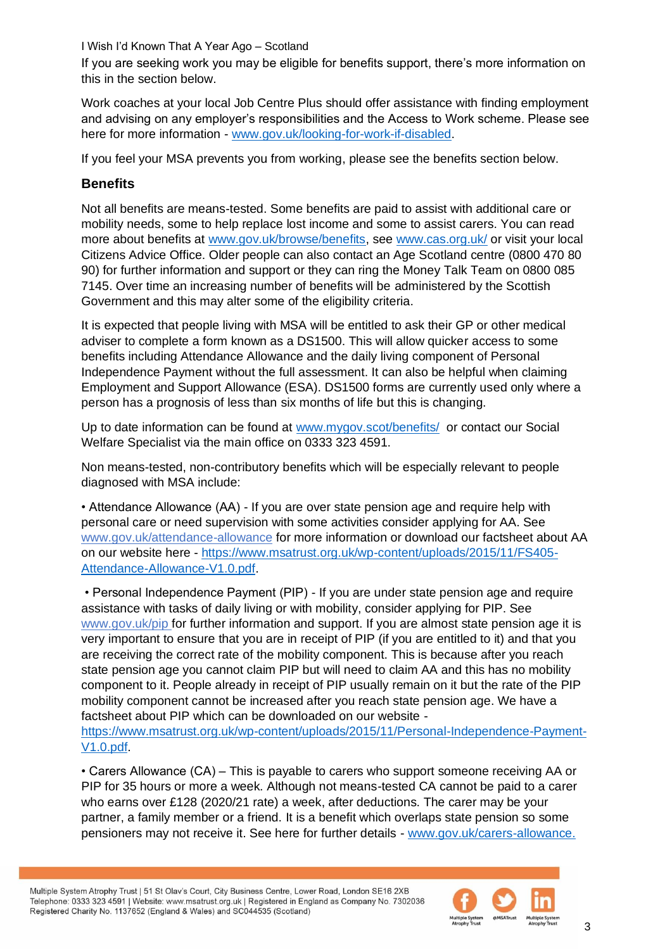If you are seeking work you may be eligible for benefits support, there's more information on this in the section below.

Work coaches at your local Job Centre Plus should offer assistance with finding employment and advising on any employer's responsibilities and the Access to Work scheme. Please see here for more information - [www.gov.uk/looking-for-work-if-disabled.](http://www.gov.uk/looking-for-work-if-disabled)

If you feel your MSA prevents you from working, please see the benefits section below.

## **Benefits**

Not all benefits are means-tested. Some benefits are paid to assist with additional care or mobility needs, some to help replace lost income and some to assist carers. You can read more about benefits at [www.gov.uk/browse/benefits,](http://www.gov.uk/browse/benefits) see [www.cas.org.uk/](http://www.cas.org.uk/) or visit your local Citizens Advice Office. Older people can also contact an Age Scotland centre (0800 470 80 90) for further information and support or they can ring the Money Talk Team on 0800 085 7145. Over time an increasing number of benefits will be administered by the Scottish Government and this may alter some of the eligibility criteria.

It is expected that people living with MSA will be entitled to ask their GP or other medical adviser to complete a form known as a DS1500. This will allow quicker access to some benefits including Attendance Allowance and the daily living component of Personal Independence Payment without the full assessment. It can also be helpful when claiming Employment and Support Allowance (ESA). DS1500 forms are currently used only where a person has a prognosis of less than six months of life but this is changing.

Up to date information can be found at [www.mygov.scot/benefits/](http://www.mygov.scot/benefits/) or contact our Social Welfare Specialist via the main office on 0333 323 4591.

Non means-tested, non-contributory benefits which will be especially relevant to people diagnosed with MSA include:

• Attendance Allowance (AA) - If you are over state pension age and require help with personal care or need supervision with some activities consider applying for AA. See www.gov.uk/attendance-allowance for more information or download our factsheet about AA on our website here - [https://www.msatrust.org.uk/wp-content/uploads/2015/11/FS405-](https://www.msatrust.org.uk/wp-content/uploads/2015/11/FS405-Attendance-Allowance-V1.0.pdf) [Attendance-Allowance-V1.0.pdf.](https://www.msatrust.org.uk/wp-content/uploads/2015/11/FS405-Attendance-Allowance-V1.0.pdf)

• Personal Independence Payment (PIP) - If you are under state pension age and require assistance with tasks of daily living or with mobility, consider applying for PIP. See www.gov.uk/pip for further information and support. If you are almost state pension age it is very important to ensure that you are in receipt of PIP (if you are entitled to it) and that you are receiving the correct rate of the mobility component. This is because after you reach state pension age you cannot claim PIP but will need to claim AA and this has no mobility component to it. People already in receipt of PIP usually remain on it but the rate of the PIP mobility component cannot be increased after you reach state pension age. We have a factsheet about PIP which can be downloaded on our website -

[https://www.msatrust.org.uk/wp-content/uploads/2015/11/Personal-Independence-Payment-](https://www.msatrust.org.uk/wp-content/uploads/2015/11/Personal-Independence-Payment-V1.0.pdf)[V1.0.pdf.](https://www.msatrust.org.uk/wp-content/uploads/2015/11/Personal-Independence-Payment-V1.0.pdf)

• Carers Allowance (CA) – This is payable to carers who support someone receiving AA or PIP for 35 hours or more a week. Although not means-tested CA cannot be paid to a carer who earns over £128 (2020/21 rate) a week, after deductions. The carer may be your partner, a family member or a friend. It is a benefit which overlaps state pension so some pensioners may not receive it. See here for further details - [www.gov.uk/carers-allowance.](http://www.gov.uk/carers-allowance)

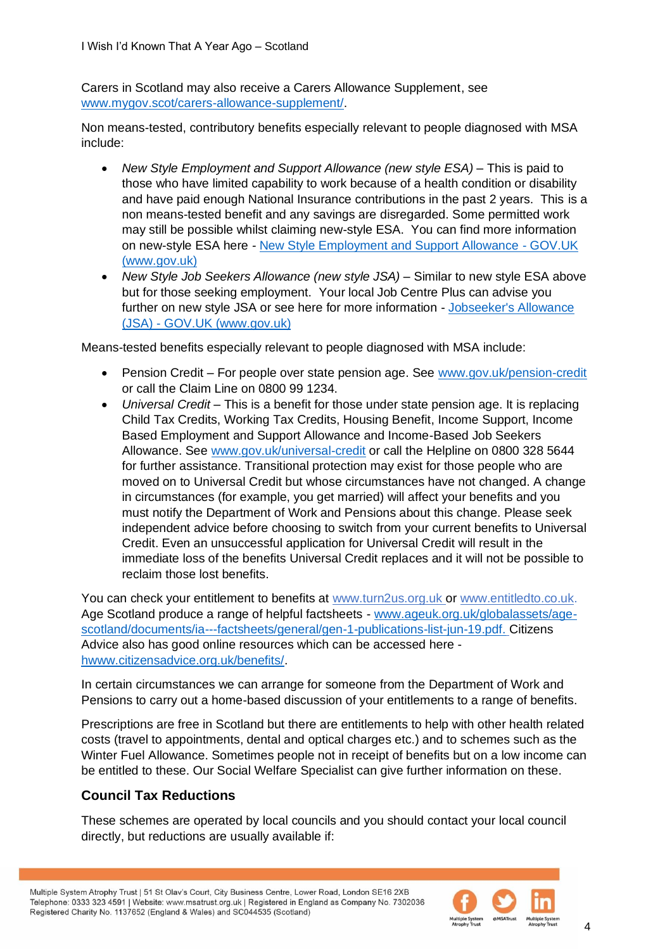Carers in Scotland may also receive a Carers Allowance Supplement, see [www.mygov.scot/carers-allowance-supplement/.](http://www.mygov.scot/carers-allowance-supplement/)

Non means-tested, contributory benefits especially relevant to people diagnosed with MSA include:

- *New Style Employment and Support Allowance (new style ESA)* This is paid to those who have limited capability to work because of a health condition or disability and have paid enough National Insurance contributions in the past 2 years. This is a non means-tested benefit and any savings are disregarded. Some permitted work may still be possible whilst claiming new-style ESA. You can find more information on new-style ESA here *-* New Style Employment and Support Allowance - GOV.UK (www.gov.uk)
- *New Style Job Seekers Allowance (new style JSA)* Similar to new style ESA above but for those seeking employment. Your local Job Centre Plus can advise you further on new style JSA or see here for more information - [Jobseeker's Allowance](https://www.gov.uk/jobseekers-allowance)  (JSA) - [GOV.UK \(www.gov.uk\)](https://www.gov.uk/jobseekers-allowance)

Means-tested benefits especially relevant to people diagnosed with MSA include:

- Pension Credit For people over state pension age. See [www.gov.uk/pension-credit](http://www.gov.uk/pension-credit) or call the Claim Line on 0800 99 1234.
- *Universal Credit* This is a benefit for those under state pension age. It is replacing Child Tax Credits, Working Tax Credits, Housing Benefit, Income Support, Income Based Employment and Support Allowance and Income-Based Job Seekers Allowance. See [www.gov.uk/universal-credit](http://www.gov.uk/universal-credit) or call the Helpline on 0800 328 5644 for further assistance. Transitional protection may exist for those people who are moved on to Universal Credit but whose circumstances have not changed. A change in circumstances (for example, you get married) will affect your benefits and you must notify the Department of Work and Pensions about this change. Please seek independent advice before choosing to switch from your current benefits to Universal Credit. Even an unsuccessful application for Universal Credit will result in the immediate loss of the benefits Universal Credit replaces and it will not be possible to reclaim those lost benefits.

You can check your entitlement to benefits at www.turn2us.org.uk or www.entitledto.co.uk. Age Scotland produce a range of helpful factsheets - [www.ageuk.org.uk/globalassets/age](http://www.ageuk.org.uk/globalassets/age-scotland/documents/ia---factsheets/general/gen-1-publications-list-jun-19.pdf)[scotland/documents/ia---factsheets/general/gen-1-publications-list-jun-19.pdf.](http://www.ageuk.org.uk/globalassets/age-scotland/documents/ia---factsheets/general/gen-1-publications-list-jun-19.pdf) Citizens Advice also has good online resources which can be accessed here [hwww.citizensadvice.org.uk/benefits/.](https://www.citizensadvice.org.uk/benefits/)

In certain circumstances we can arrange for someone from the Department of Work and Pensions to carry out a home-based discussion of your entitlements to a range of benefits.

Prescriptions are free in Scotland but there are entitlements to help with other health related costs (travel to appointments, dental and optical charges etc.) and to schemes such as the Winter Fuel Allowance. Sometimes people not in receipt of benefits but on a low income can be entitled to these. Our Social Welfare Specialist can give further information on these.

## **Council Tax Reductions**

These schemes are operated by local councils and you should contact your local council directly, but reductions are usually available if:

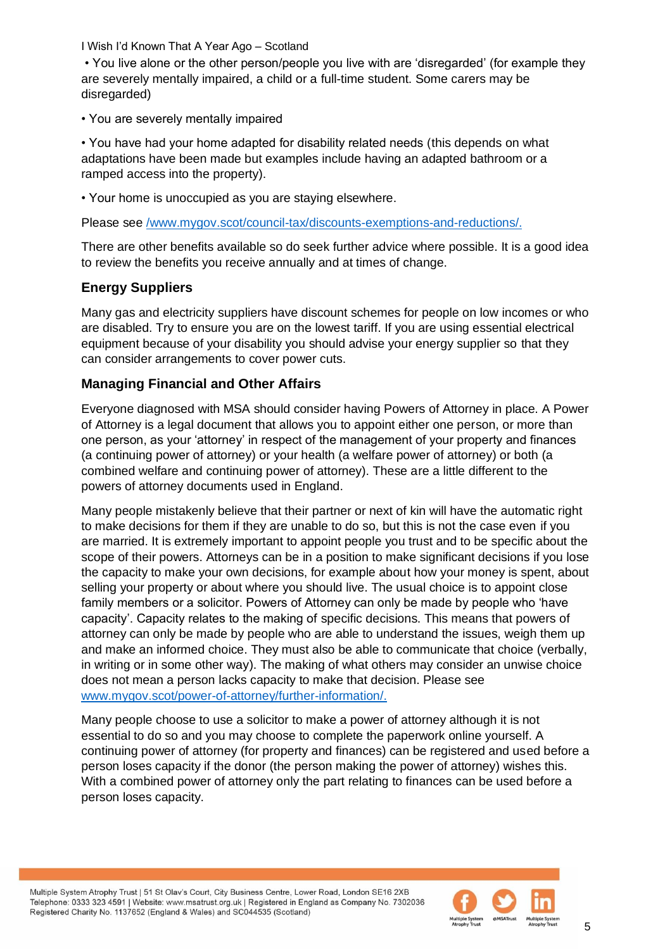• You live alone or the other person/people you live with are 'disregarded' (for example they are severely mentally impaired, a child or a full-time student. Some carers may be disregarded)

• You are severely mentally impaired

• You have had your home adapted for disability related needs (this depends on what adaptations have been made but examples include having an adapted bathroom or a ramped access into the property).

• Your home is unoccupied as you are staying elsewhere.

Please see [/www.mygov.scot/council-tax/discounts-exemptions-and-reductions/.](https://www.mygov.scot/council-tax/discounts-exemptions-and-reductions/)

There are other benefits available so do seek further advice where possible. It is a good idea to review the benefits you receive annually and at times of change.

## **Energy Suppliers**

Many gas and electricity suppliers have discount schemes for people on low incomes or who are disabled. Try to ensure you are on the lowest tariff. If you are using essential electrical equipment because of your disability you should advise your energy supplier so that they can consider arrangements to cover power cuts.

## **Managing Financial and Other Affairs**

Everyone diagnosed with MSA should consider having Powers of Attorney in place. A Power of Attorney is a legal document that allows you to appoint either one person, or more than one person, as your 'attorney' in respect of the management of your property and finances (a continuing power of attorney) or your health (a welfare power of attorney) or both (a combined welfare and continuing power of attorney). These are a little different to the powers of attorney documents used in England.

Many people mistakenly believe that their partner or next of kin will have the automatic right to make decisions for them if they are unable to do so, but this is not the case even if you are married. It is extremely important to appoint people you trust and to be specific about the scope of their powers. Attorneys can be in a position to make significant decisions if you lose the capacity to make your own decisions, for example about how your money is spent, about selling your property or about where you should live. The usual choice is to appoint close family members or a solicitor. Powers of Attorney can only be made by people who 'have capacity'. Capacity relates to the making of specific decisions. This means that powers of attorney can only be made by people who are able to understand the issues, weigh them up and make an informed choice. They must also be able to communicate that choice (verbally, in writing or in some other way). The making of what others may consider an unwise choice does not mean a person lacks capacity to make that decision. Please see [www.mygov.scot/power-of-attorney/further-information/.](http://www.mygov.scot/power-of-attorney/further-information/)

Many people choose to use a solicitor to make a power of attorney although it is not essential to do so and you may choose to complete the paperwork online yourself. A continuing power of attorney (for property and finances) can be registered and used before a person loses capacity if the donor (the person making the power of attorney) wishes this. With a combined power of attorney only the part relating to finances can be used before a person loses capacity.

Multiple System Atrophy Trust | 51 St Olav's Court, City Business Centre, Lower Road, London SE16 2XB Telephone: 0333 323 4591 | Website: www.msatrust.org.uk | Registered in England as Company No. 7302036 Registered Charity No. 1137652 (England & Wales) and SC044535 (Scotland)

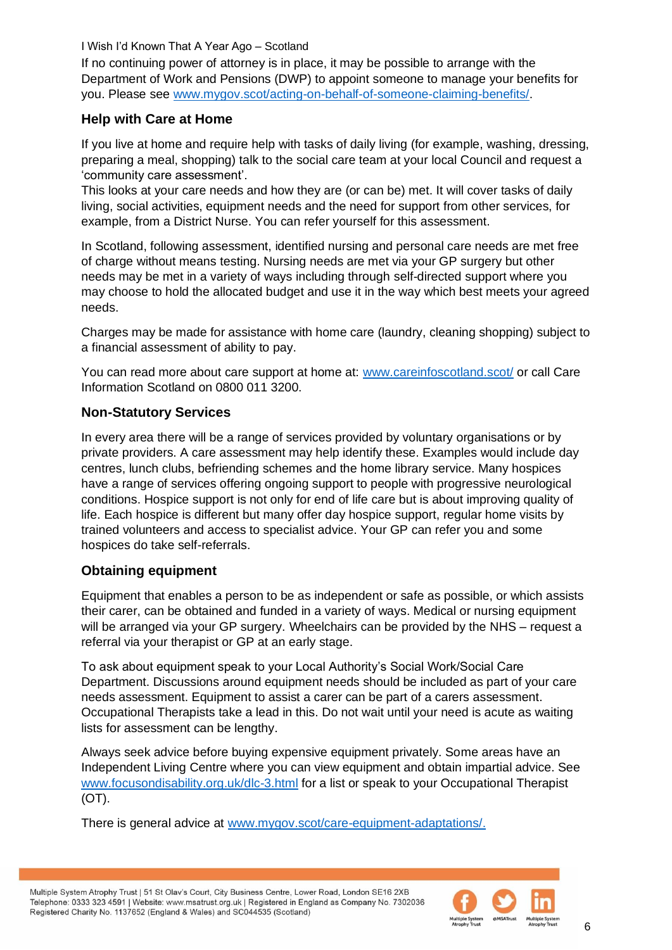If no continuing power of attorney is in place, it may be possible to arrange with the Department of Work and Pensions (DWP) to appoint someone to manage your benefits for you. Please see [www.mygov.scot/acting-on-behalf-of-someone-claiming-benefits/.](http://www.mygov.scot/acting-on-behalf-of-someone-claiming-benefits/)

#### **Help with Care at Home**

If you live at home and require help with tasks of daily living (for example, washing, dressing, preparing a meal, shopping) talk to the social care team at your local Council and request a 'community care assessment'.

This looks at your care needs and how they are (or can be) met. It will cover tasks of daily living, social activities, equipment needs and the need for support from other services, for example, from a District Nurse. You can refer yourself for this assessment.

In Scotland, following assessment, identified nursing and personal care needs are met free of charge without means testing. Nursing needs are met via your GP surgery but other needs may be met in a variety of ways including through self-directed support where you may choose to hold the allocated budget and use it in the way which best meets your agreed needs.

Charges may be made for assistance with home care (laundry, cleaning shopping) subject to a financial assessment of ability to pay.

You can read more about care support at home at: [www.careinfoscotland.scot/](http://www.careinfoscotland.scot/) or call Care Information Scotland on 0800 011 3200.

#### **Non-Statutory Services**

In every area there will be a range of services provided by voluntary organisations or by private providers. A care assessment may help identify these. Examples would include day centres, lunch clubs, befriending schemes and the home library service. Many hospices have a range of services offering ongoing support to people with progressive neurological conditions. Hospice support is not only for end of life care but is about improving quality of life. Each hospice is different but many offer day hospice support, regular home visits by trained volunteers and access to specialist advice. Your GP can refer you and some hospices do take self-referrals.

#### **Obtaining equipment**

Equipment that enables a person to be as independent or safe as possible, or which assists their carer, can be obtained and funded in a variety of ways. Medical or nursing equipment will be arranged via your GP surgery. Wheelchairs can be provided by the NHS – request a referral via your therapist or GP at an early stage.

To ask about equipment speak to your Local Authority's Social Work/Social Care Department. Discussions around equipment needs should be included as part of your care needs assessment. Equipment to assist a carer can be part of a carers assessment. Occupational Therapists take a lead in this. Do not wait until your need is acute as waiting lists for assessment can be lengthy.

Always seek advice before buying expensive equipment privately. Some areas have an Independent Living Centre where you can view equipment and obtain impartial advice. See [www.focusondisability.org.uk/dlc-3.html](http://www.focusondisability.org.uk/dlc-3.html) for a list or speak to your Occupational Therapist (OT).

There is general advice at [www.mygov.scot/care-equipment-adaptations/.](http://www.mygov.scot/care-equipment-adaptations/)

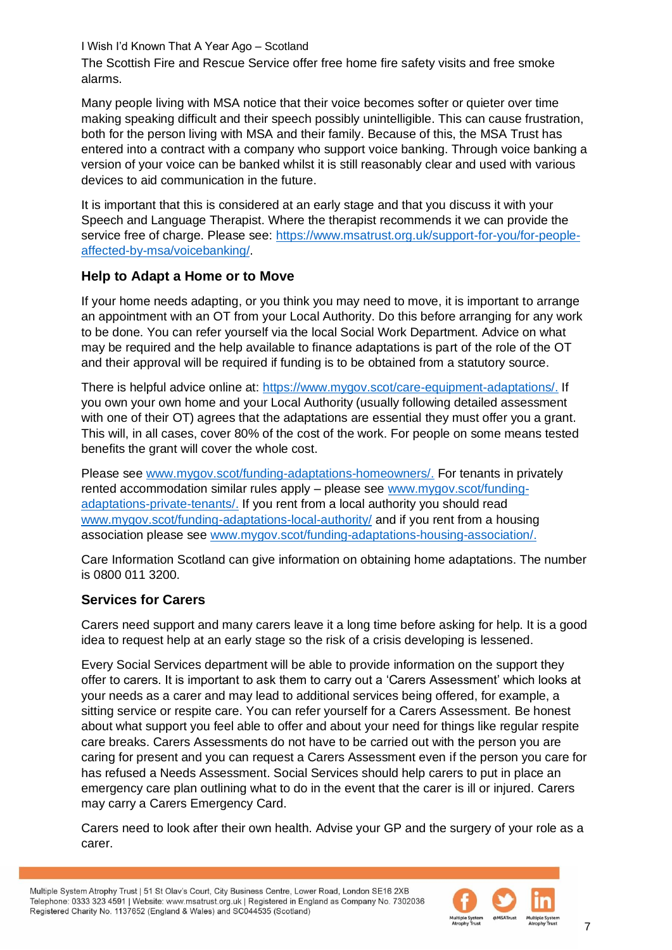The Scottish Fire and Rescue Service offer free home fire safety visits and free smoke alarms.

Many people living with MSA notice that their voice becomes softer or quieter over time making speaking difficult and their speech possibly unintelligible. This can cause frustration, both for the person living with MSA and their family. Because of this, the MSA Trust has entered into a contract with a company who support voice banking. Through voice banking a version of your voice can be banked whilst it is still reasonably clear and used with various devices to aid communication in the future.

It is important that this is considered at an early stage and that you discuss it with your Speech and Language Therapist. Where the therapist recommends it we can provide the service free of charge. Please see: [https://www.msatrust.org.uk/support-for-you/for-people](https://www.msatrust.org.uk/support-for-you/for-people-affected-by-msa/voicebanking/)[affected-by-msa/voicebanking/.](https://www.msatrust.org.uk/support-for-you/for-people-affected-by-msa/voicebanking/)

## **Help to Adapt a Home or to Move**

If your home needs adapting, or you think you may need to move, it is important to arrange an appointment with an OT from your Local Authority. Do this before arranging for any work to be done. You can refer yourself via the local Social Work Department. Advice on what may be required and the help available to finance adaptations is part of the role of the OT and their approval will be required if funding is to be obtained from a statutory source.

There is helpful advice online at: [https://www.mygov.scot/care-equipment-adaptations/.](https://www.mygov.scot/care-equipment-adaptations/) If you own your own home and your Local Authority (usually following detailed assessment with one of their OT) agrees that the adaptations are essential they must offer you a grant. This will, in all cases, cover 80% of the cost of the work. For people on some means tested benefits the grant will cover the whole cost.

Please see [www.mygov.scot/funding-adaptations-homeowners/.](http://www.mygov.scot/funding-adaptations-homeowners/) For tenants in privately rented accommodation similar rules apply – please see [www.mygov.scot/funding](http://www.mygov.scot/funding-adaptations-private-tenants/)[adaptations-private-tenants/.](http://www.mygov.scot/funding-adaptations-private-tenants/) If you rent from a local authority you should read [www.mygov.scot/funding-adaptations-local-authority/](http://www.mygov.scot/funding-adaptations-local-authority/) and if you rent from a housing association please see [www.mygov.scot/funding-adaptations-housing-association/.](http://www.mygov.scot/funding-adaptations-housing-association/)

Care Information Scotland can give information on obtaining home adaptations. The number is 0800 011 3200.

## **Services for Carers**

Carers need support and many carers leave it a long time before asking for help. It is a good idea to request help at an early stage so the risk of a crisis developing is lessened.

Every Social Services department will be able to provide information on the support they offer to carers. It is important to ask them to carry out a 'Carers Assessment' which looks at your needs as a carer and may lead to additional services being offered, for example, a sitting service or respite care. You can refer yourself for a Carers Assessment. Be honest about what support you feel able to offer and about your need for things like regular respite care breaks. Carers Assessments do not have to be carried out with the person you are caring for present and you can request a Carers Assessment even if the person you care for has refused a Needs Assessment. Social Services should help carers to put in place an emergency care plan outlining what to do in the event that the carer is ill or injured. Carers may carry a Carers Emergency Card.

Carers need to look after their own health. Advise your GP and the surgery of your role as a carer.

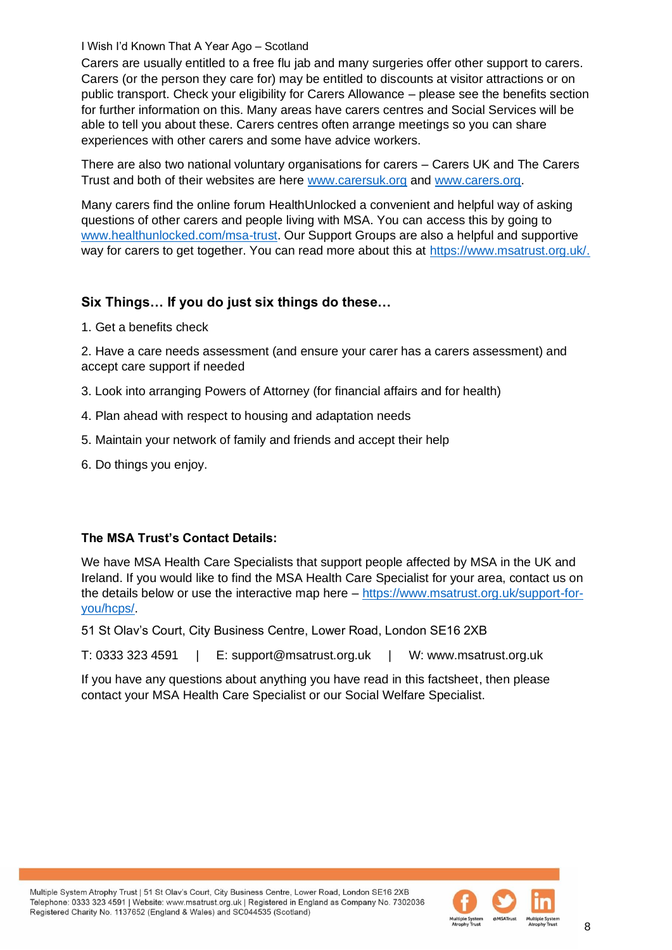Carers are usually entitled to a free flu jab and many surgeries offer other support to carers. Carers (or the person they care for) may be entitled to discounts at visitor attractions or on public transport. Check your eligibility for Carers Allowance – please see the benefits section for further information on this. Many areas have carers centres and Social Services will be able to tell you about these. Carers centres often arrange meetings so you can share experiences with other carers and some have advice workers.

There are also two national voluntary organisations for carers – Carers UK and The Carers Trust and both of their websites are here [www.carersuk.org](http://www.carersuk.org/) and [www.carers.org.](http://www.carers.org/)

Many carers find the online forum HealthUnlocked a convenient and helpful way of asking questions of other carers and people living with MSA. You can access this by going to [www.healthunlocked.com/msa-trust.](http://www.healthunlocked.com/msa-trust) Our Support Groups are also a helpful and supportive way for carers to get together. You can read more about this at [https://www.msatrust.org.uk/.](https://www.msatrust.org.uk/)

## **Six Things… If you do just six things do these…**

1. Get a benefits check

2. Have a care needs assessment (and ensure your carer has a carers assessment) and accept care support if needed

- 3. Look into arranging Powers of Attorney (for financial affairs and for health)
- 4. Plan ahead with respect to housing and adaptation needs
- 5. Maintain your network of family and friends and accept their help
- 6. Do things you enjoy.

## **The MSA Trust's Contact Details:**

We have MSA Health Care Specialists that support people affected by MSA in the UK and Ireland. If you would like to find the MSA Health Care Specialist for your area, contact us on the details below or use the interactive map here – [https://www.msatrust.org.uk/support-for](https://www.msatrust.org.uk/support-for-you/hcps/)[you/hcps/.](https://www.msatrust.org.uk/support-for-you/hcps/)

51 St Olav's Court, City Business Centre, Lower Road, London SE16 2XB

T: 0333 323 4591 | E: support@msatrust.org.uk | W: www.msatrust.org.uk

If you have any questions about anything you have read in this factsheet, then please contact your MSA Health Care Specialist or our Social Welfare Specialist.